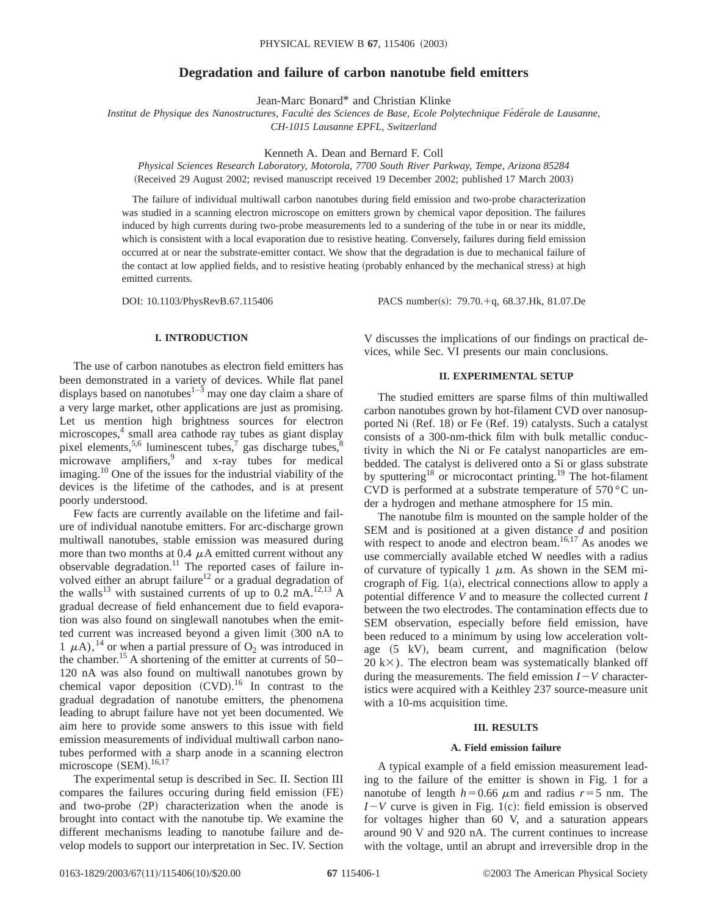# **Degradation and failure of carbon nanotube field emitters**

Jean-Marc Bonard\* and Christian Klinke

*Institut de Physique des Nanostructures, Faculte´ des Sciences de Base, Ecole Polytechnique Fe´de´rale de Lausanne, CH-1015 Lausanne EPFL, Switzerland*

Kenneth A. Dean and Bernard F. Coll

*Physical Sciences Research Laboratory, Motorola, 7700 South River Parkway, Tempe, Arizona 85284* (Received 29 August 2002; revised manuscript received 19 December 2002; published 17 March 2003)

The failure of individual multiwall carbon nanotubes during field emission and two-probe characterization was studied in a scanning electron microscope on emitters grown by chemical vapor deposition. The failures induced by high currents during two-probe measurements led to a sundering of the tube in or near its middle, which is consistent with a local evaporation due to resistive heating. Conversely, failures during field emission occurred at or near the substrate-emitter contact. We show that the degradation is due to mechanical failure of the contact at low applied fields, and to resistive heating (probably enhanced by the mechanical stress) at high emitted currents.

DOI: 10.1103/PhysRevB.67.115406 PACS number(s): 79.70.+q, 68.37.Hk, 81.07.De

# **I. INTRODUCTION**

The use of carbon nanotubes as electron field emitters has been demonstrated in a variety of devices. While flat panel displays based on nanotubes $1-3$  may one day claim a share of a very large market, other applications are just as promising. Let us mention high brightness sources for electron microscopes,<sup>4</sup> small area cathode ray tubes as giant display pixel elements,<sup>5,6</sup> luminescent tubes,<sup>7</sup> gas discharge tubes,<sup>8</sup> microwave amplifiers,<sup>9</sup> and x-ray tubes for medical imaging.<sup>10</sup> One of the issues for the industrial viability of the devices is the lifetime of the cathodes, and is at present poorly understood.

Few facts are currently available on the lifetime and failure of individual nanotube emitters. For arc-discharge grown multiwall nanotubes, stable emission was measured during more than two months at  $0.4 \mu A$  emitted current without any observable degradation.<sup>11</sup> The reported cases of failure involved either an abrupt failure<sup>12</sup> or a gradual degradation of the walls<sup>13</sup> with sustained currents of up to 0.2 mA.<sup>12,13</sup> A gradual decrease of field enhancement due to field evaporation was also found on singlewall nanotubes when the emitted current was increased beyond a given limit (300 nA to 1  $\mu$ A),<sup>14</sup> or when a partial pressure of O<sub>2</sub> was introduced in the chamber.<sup>15</sup> A shortening of the emitter at currents of  $50-$ 120 nA was also found on multiwall nanotubes grown by chemical vapor deposition  $(CVD)$ .<sup>16</sup> In contrast to the gradual degradation of nanotube emitters, the phenomena leading to abrupt failure have not yet been documented. We aim here to provide some answers to this issue with field emission measurements of individual multiwall carbon nanotubes performed with a sharp anode in a scanning electron microscope  $(SEM).$ <sup>16,17</sup>

The experimental setup is described in Sec. II. Section III compares the failures occuring during field emission (FE) and two-probe  $(2P)$  characterization when the anode is brought into contact with the nanotube tip. We examine the different mechanisms leading to nanotube failure and develop models to support our interpretation in Sec. IV. Section V discusses the implications of our findings on practical devices, while Sec. VI presents our main conclusions.

# **II. EXPERIMENTAL SETUP**

The studied emitters are sparse films of thin multiwalled carbon nanotubes grown by hot-filament CVD over nanosupported Ni  $(Ref. 18)$  or Fe  $(Ref. 19)$  catalysts. Such a catalyst consists of a 300-nm-thick film with bulk metallic conductivity in which the Ni or Fe catalyst nanoparticles are embedded. The catalyst is delivered onto a Si or glass substrate by sputtering<sup>18</sup> or microcontact printing.<sup>19</sup> The hot-filament CVD is performed at a substrate temperature of 570 °C under a hydrogen and methane atmosphere for 15 min.

The nanotube film is mounted on the sample holder of the SEM and is positioned at a given distance *d* and position with respect to anode and electron beam.<sup>16,17</sup> As anodes we use commercially available etched W needles with a radius of curvature of typically 1  $\mu$ m. As shown in the SEM micrograph of Fig.  $1(a)$ , electrical connections allow to apply a potential difference *V* and to measure the collected current *I* between the two electrodes. The contamination effects due to SEM observation, especially before field emission, have been reduced to a minimum by using low acceleration voltage  $(5 \text{ kV})$ , beam current, and magnification (below  $20 \text{ kX}$ ). The electron beam was systematically blanked off during the measurements. The field emission  $I-V$  characteristics were acquired with a Keithley 237 source-measure unit with a 10-ms acquisition time.

#### **III. RESULTS**

### **A. Field emission failure**

A typical example of a field emission measurement leading to the failure of the emitter is shown in Fig. 1 for a nanotube of length  $h=0.66 \mu m$  and radius  $r=5 \text{ nm}$ . The  $I-V$  curve is given in Fig. 1(c): field emission is observed for voltages higher than 60 V, and a saturation appears around 90 V and 920 nA. The current continues to increase with the voltage, until an abrupt and irreversible drop in the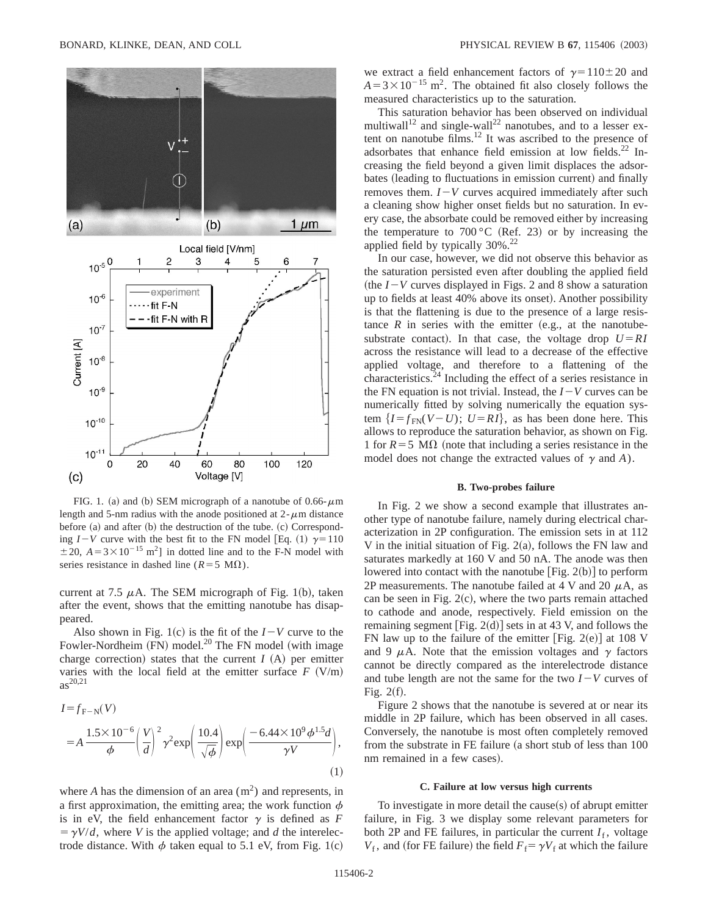

FIG. 1. (a) and (b) SEM micrograph of a nanotube of  $0.66-\mu m$ length and 5-nm radius with the anode positioned at  $2-\mu$ m distance before  $(a)$  and after  $(b)$  the destruction of the tube.  $(c)$  Corresponding  $I-V$  curve with the best fit to the FN model [Eq. (1)  $\gamma=110$  $\pm$  20,  $A = 3 \times 10^{-15}$  m<sup>2</sup>] in dotted line and to the F-N model with series resistance in dashed line ( $R=5$  M $\Omega$ ).

current at 7.5  $\mu$ A. The SEM micrograph of Fig. 1(b), taken after the event, shows that the emitting nanotube has disappeared.

Also shown in Fig. 1(c) is the fit of the  $I-V$  curve to the Fowler-Nordheim  $(FN)$  model.<sup>20</sup> The FN model (with image charge correction) states that the current  $I(A)$  per emitter varies with the local field at the emitter surface  $F (V/m)$  $as^{20,21}$ 

$$
I = f_{\mathrm{F-N}}(V)
$$
  
=  $A \frac{1.5 \times 10^{-6}}{\phi} \left(\frac{V}{d}\right)^2 \gamma^2 \exp\left(\frac{10.4}{\sqrt{\phi}}\right) \exp\left(\frac{-6.44 \times 10^9 \phi^{1.5} d}{\gamma V}\right),$  (1)

where *A* has the dimension of an area  $(m<sup>2</sup>)$  and represents, in a first approximation, the emitting area; the work function  $\phi$ is in eV, the field enhancement factor  $\gamma$  is defined as *F*  $= \gamma V/d$ , where *V* is the applied voltage; and *d* the interelectrode distance. With  $\phi$  taken equal to 5.1 eV, from Fig. 1(c) we extract a field enhancement factors of  $\gamma=110\pm20$  and  $A = 3 \times 10^{-15}$  m<sup>2</sup>. The obtained fit also closely follows the measured characteristics up to the saturation.

This saturation behavior has been observed on individual multiwall<sup>12</sup> and single-wall<sup>22</sup> nanotubes, and to a lesser extent on nanotube films.<sup>12</sup> It was ascribed to the presence of adsorbates that enhance field emission at low fields.<sup>22</sup> Increasing the field beyond a given limit displaces the adsorbates (leading to fluctuations in emission current) and finally removes them.  $I-V$  curves acquired immediately after such a cleaning show higher onset fields but no saturation. In every case, the absorbate could be removed either by increasing the temperature to  $700\degree C$  (Ref. 23) or by increasing the applied field by typically  $30\%$ <sup>22</sup>

In our case, however, we did not observe this behavior as the saturation persisted even after doubling the applied field (the  $I-V$  curves displayed in Figs. 2 and 8 show a saturation up to fields at least 40% above its onset). Another possibility is that the flattening is due to the presence of a large resistance  $R$  in series with the emitter (e.g., at the nanotubesubstrate contact). In that case, the voltage drop  $U = RI$ across the resistance will lead to a decrease of the effective applied voltage, and therefore to a flattening of the characteristics.24 Including the effect of a series resistance in the FN equation is not trivial. Instead, the  $I-V$  curves can be numerically fitted by solving numerically the equation system  $\{I = f_{FN}(V-U); U = RI\}$ , as has been done here. This allows to reproduce the saturation behavior, as shown on Fig. 1 for  $R=5$  M $\Omega$  (note that including a series resistance in the model does not change the extracted values of  $\gamma$  and *A*).

#### **B. Two-probes failure**

In Fig. 2 we show a second example that illustrates another type of nanotube failure, namely during electrical characterization in 2P configuration. The emission sets in at 112 V in the initial situation of Fig.  $2(a)$ , follows the FN law and saturates markedly at 160 V and 50 nA. The anode was then lowered into contact with the nanotube  $[Fig. 2(b)]$  to perform 2P measurements. The nanotube failed at 4 V and 20  $\mu$ A, as can be seen in Fig.  $2(c)$ , where the two parts remain attached to cathode and anode, respectively. Field emission on the remaining segment  $[Fig. 2(d)]$  sets in at 43 V, and follows the FN law up to the failure of the emitter [Fig. 2(e)] at 108 V and 9  $\mu$ A. Note that the emission voltages and  $\gamma$  factors cannot be directly compared as the interelectrode distance and tube length are not the same for the two  $I-V$  curves of Fig.  $2(f)$ .

Figure 2 shows that the nanotube is severed at or near its middle in 2P failure, which has been observed in all cases. Conversely, the nanotube is most often completely removed from the substrate in FE failure (a short stub of less than  $100$ nm remained in a few cases).

### **C. Failure at low versus high currents**

To investigate in more detail the cause $(s)$  of abrupt emitter failure, in Fig. 3 we display some relevant parameters for both 2P and FE failures, in particular the current  $I_f$ , voltage  $V_f$ , and (for FE failure) the field  $F_f = \gamma V_f$  at which the failure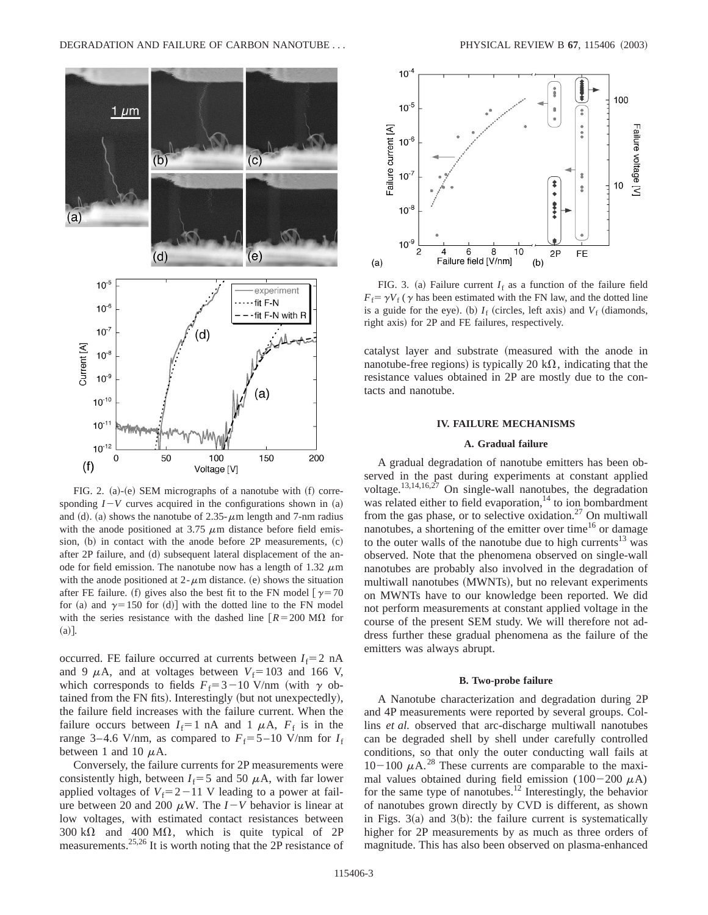

FIG. 2. (a)-(e) SEM micrographs of a nanotube with  $(f)$  corresponding  $I-V$  curves acquired in the configurations shown in (a) and (d). (a) shows the nanotube of 2.35- $\mu$ m length and 7-nm radius with the anode positioned at 3.75  $\mu$ m distance before field emission,  $(b)$  in contact with the anode before 2P measurements,  $(c)$ after  $2P$  failure, and  $(d)$  subsequent lateral displacement of the anode for field emission. The nanotube now has a length of 1.32  $\mu$ m with the anode positioned at  $2-\mu m$  distance. (e) shows the situation after FE failure. (f) gives also the best fit to the FN model  $\lceil \gamma = 70 \rceil$ for (a) and  $\gamma=150$  for (d)] with the dotted line to the FN model with the series resistance with the dashed line  $R = 200 \text{ M}\Omega$  for  $(a)$ .

occurred. FE failure occurred at currents between  $I_f=2$  nA and 9  $\mu$ A, and at voltages between  $V_f$ =103 and 166 V, which corresponds to fields  $F_f = 3-10$  V/nm (with  $\gamma$  obtained from the FN fits). Interestingly (but not unexpectedly), the failure field increases with the failure current. When the failure occurs between  $I_f=1$  nA and 1  $\mu$ A,  $F_f$  is in the range 3–4.6 V/nm, as compared to  $F_f = 5 - 10$  V/nm for  $I_f$ between 1 and 10  $\mu$ A.

Conversely, the failure currents for 2P measurements were consistently high, between  $I_f=5$  and 50  $\mu$ A, with far lower applied voltages of  $V_f = 2 - 11$  V leading to a power at failure between 20 and 200  $\mu$ W. The  $I-V$  behavior is linear at low voltages, with estimated contact resistances between 300 k $\Omega$  and 400 M $\Omega$ , which is quite typical of 2P measurements.25,26 It is worth noting that the 2P resistance of



FIG. 3. (a) Failure current  $I_f$  as a function of the failure field  $F_f = \gamma V_f$  ( $\gamma$  has been estimated with the FN law, and the dotted line is a guide for the eye). (b)  $I_f$  (circles, left axis) and  $V_f$  (diamonds, right axis) for 2P and FE failures, respectively.

catalyst layer and substrate (measured with the anode in nanotube-free regions) is typically 20 k $\Omega$ , indicating that the resistance values obtained in 2P are mostly due to the contacts and nanotube.

### **IV. FAILURE MECHANISMS**

### **A. Gradual failure**

A gradual degradation of nanotube emitters has been observed in the past during experiments at constant applied voltage. $13,14,16,27$  On single-wall nanotubes, the degradation was related either to field evaporation, $14$  to ion bombardment from the gas phase, or to selective oxidation.<sup>27</sup> On multiwall nanotubes, a shortening of the emitter over time<sup>16</sup> or damage to the outer walls of the nanotube due to high currents<sup>13</sup> was observed. Note that the phenomena observed on single-wall nanotubes are probably also involved in the degradation of multiwall nanotubes (MWNTs), but no relevant experiments on MWNTs have to our knowledge been reported. We did not perform measurements at constant applied voltage in the course of the present SEM study. We will therefore not address further these gradual phenomena as the failure of the emitters was always abrupt.

### **B. Two-probe failure**

A Nanotube characterization and degradation during 2P and 4P measurements were reported by several groups. Collins *et al.* observed that arc-discharge multiwall nanotubes can be degraded shell by shell under carefully controlled conditions, so that only the outer conducting wall fails at  $10-100 \mu A$ <sup>28</sup>. These currents are comparable to the maximal values obtained during field emission (100-200  $\mu$ A) for the same type of nanotubes.<sup>12</sup> Interestingly, the behavior of nanotubes grown directly by CVD is different, as shown in Figs.  $3(a)$  and  $3(b)$ : the failure current is systematically higher for 2P measurements by as much as three orders of magnitude. This has also been observed on plasma-enhanced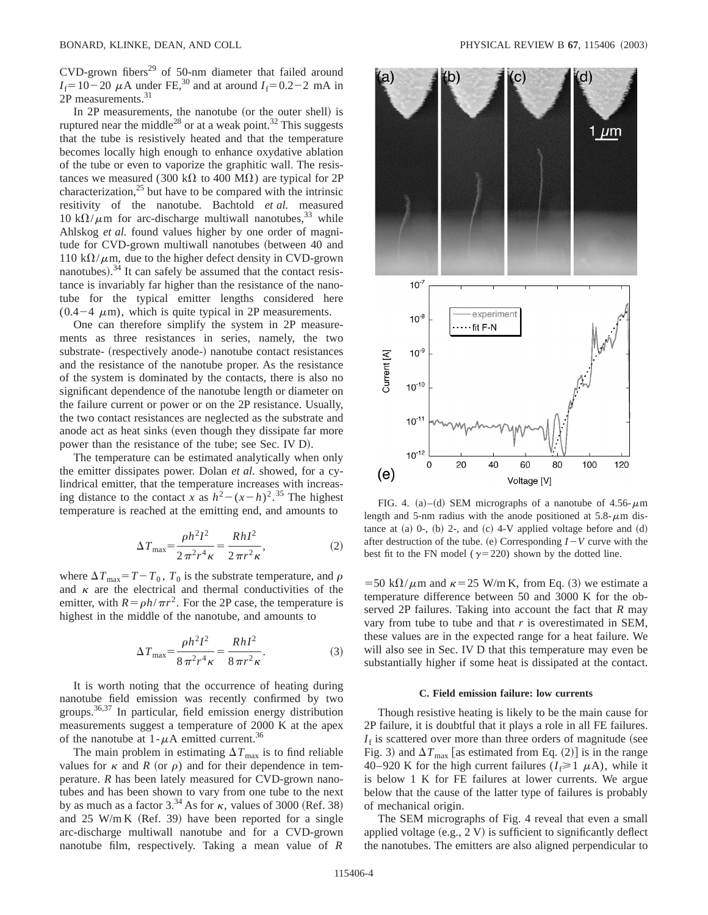$CVD$ -grown fibers<sup>29</sup> of 50-nm diameter that failed around  $I_f=10-20 \mu A$  under FE,<sup>30</sup> and at around  $I_f=0.2-2$  mA in 2P measurements.<sup>31</sup>

In 2P measurements, the nanotube (or the outer shell) is ruptured near the middle<sup>28</sup> or at a weak point.<sup>32</sup> This suggests that the tube is resistively heated and that the temperature becomes locally high enough to enhance oxydative ablation of the tube or even to vaporize the graphitic wall. The resistances we measured (300 k $\Omega$  to 400 M $\Omega$ ) are typical for 2P characterization, $^{25}$  but have to be compared with the intrinsic resitivity of the nanotube. Bachtold *et al.* measured 10 k $\Omega/\mu$ m for arc-discharge multiwall nanotubes,<sup>33</sup> while Ahlskog *et al.* found values higher by one order of magnitude for CVD-grown multiwall nanotubes (between 40 and 110 k $\Omega/\mu$ m, due to the higher defect density in CVD-grown nanotubes). $34$  It can safely be assumed that the contact resistance is invariably far higher than the resistance of the nanotube for the typical emitter lengths considered here  $(0.4-4 \mu m)$ , which is quite typical in 2P measurements.

One can therefore simplify the system in 2P measurements as three resistances in series, namely, the two substrate- (respectively anode-) nanotube contact resistances and the resistance of the nanotube proper. As the resistance of the system is dominated by the contacts, there is also no significant dependence of the nanotube length or diameter on the failure current or power or on the 2P resistance. Usually, the two contact resistances are neglected as the substrate and anode act as heat sinks (even though they dissipate far more power than the resistance of the tube; see Sec. IV D).

The temperature can be estimated analytically when only the emitter dissipates power. Dolan *et al.* showed, for a cylindrical emitter, that the temperature increases with increasing distance to the contact *x* as  $h^2 - (x - h)^2$ .<sup>35</sup> The highest temperature is reached at the emitting end, and amounts to

$$
\Delta T_{\text{max}} = \frac{\rho h^2 I^2}{2 \pi^2 r^4 \kappa} = \frac{Rh I^2}{2 \pi r^2 \kappa},\tag{2}
$$

where  $\Delta T_{\text{max}} = T - T_0$ ,  $T_0$  is the substrate temperature, and  $\rho$ and  $\kappa$  are the electrical and thermal conductivities of the emitter, with  $R = \rho h / \pi r^2$ . For the 2P case, the temperature is highest in the middle of the nanotube, and amounts to

$$
\Delta T_{\text{max}} = \frac{\rho h^2 I^2}{8 \pi^2 r^4 \kappa} = \frac{Rh I^2}{8 \pi r^2 \kappa}.
$$
 (3)

It is worth noting that the occurrence of heating during nanotube field emission was recently confirmed by two groups.36,37 In particular, field emission energy distribution measurements suggest a temperature of 2000 K at the apex of the nanotube at  $1-\mu A$  emitted current.<sup>36</sup>

The main problem in estimating  $\Delta T_{\text{max}}$  is to find reliable values for  $\kappa$  and *R* (or  $\rho$ ) and for their dependence in temperature. *R* has been lately measured for CVD-grown nanotubes and has been shown to vary from one tube to the next by as much as a factor  $3.^{34}$  As for  $\kappa$ , values of 3000 (Ref. 38) and 25 W/m K (Ref. 39) have been reported for a single arc-discharge multiwall nanotube and for a CVD-grown nanotube film, respectively. Taking a mean value of *R*



FIG. 4. (a)–(d) SEM micrographs of a nanotube of 4.56- $\mu$ m length and 5-nm radius with the anode positioned at  $5.8 - \mu$ m distance at  $(a)$  0-,  $(b)$  2-, and  $(c)$  4-V applied voltage before and  $(d)$ after destruction of the tube. (e) Corresponding  $I-V$  curve with the best fit to the FN model ( $\gamma$ =220) shown by the dotted line.

=50 k $\Omega/\mu$ m and  $\kappa$ =25 W/m K, from Eq. (3) we estimate a temperature difference between 50 and 3000 K for the observed 2P failures. Taking into account the fact that *R* may vary from tube to tube and that *r* is overestimated in SEM, these values are in the expected range for a heat failure. We will also see in Sec. IV D that this temperature may even be substantially higher if some heat is dissipated at the contact.

#### **C. Field emission failure: low currents**

Though resistive heating is likely to be the main cause for 2P failure, it is doubtful that it plays a role in all FE failures.  $I_f$  is scattered over more than three orders of magnitude (see Fig. 3) and  $\Delta T_{\text{max}}$  [as estimated from Eq. (2)] is in the range 40–920 K for the high current failures  $(I_f \ge 1 \mu A)$ , while it is below 1 K for FE failures at lower currents. We argue below that the cause of the latter type of failures is probably of mechanical origin.

The SEM micrographs of Fig. 4 reveal that even a small applied voltage  $(e.g., 2 V)$  is sufficient to significantly deflect the nanotubes. The emitters are also aligned perpendicular to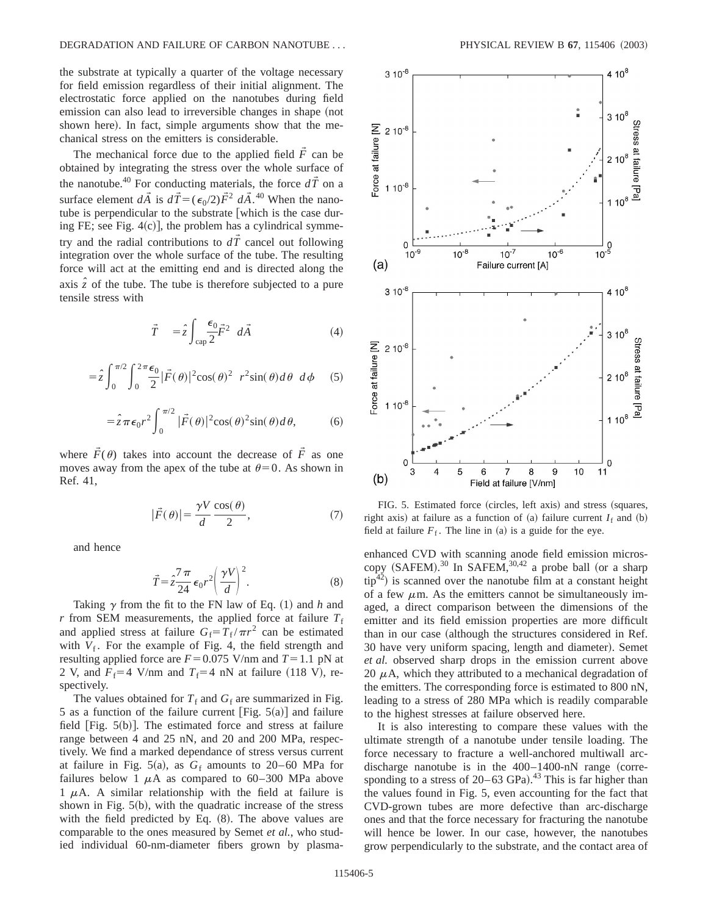the substrate at typically a quarter of the voltage necessary for field emission regardless of their initial alignment. The electrostatic force applied on the nanotubes during field emission can also lead to irreversible changes in shape (not shown here). In fact, simple arguments show that the mechanical stress on the emitters is considerable.

The mechanical force due to the applied field  $\tilde{F}$  can be obtained by integrating the stress over the whole surface of the nanotube.<sup>40</sup> For conducting materials, the force  $d\vec{T}$  on a surface element  $d\vec{A}$  is  $d\vec{T} = (\epsilon_0/2)\vec{F}^2 d\vec{A}$ .<sup>40</sup> When the nanotube is perpendicular to the substrate [which is the case during FE; see Fig.  $4(c)$ , the problem has a cylindrical symmetry and the radial contributions to  $d\vec{T}$  cancel out following integration over the whole surface of the tube. The resulting force will act at the emitting end and is directed along the axis  $\hat{z}$  of the tube. The tube is therefore subjected to a pure tensile stress with

$$
\vec{T} = \hat{z} \int_{\text{cap}} \frac{\epsilon_0}{2} \vec{F}^2 \, d\vec{A} \tag{4}
$$

$$
= \hat{z} \int_0^{\pi/2} \int_0^{2\pi} \frac{\epsilon_0}{2} |\vec{F}(\theta)|^2 \cos(\theta)^2 r^2 \sin(\theta) d\theta d\phi
$$
 (5)

$$
= \hat{z}\pi\epsilon_0 r^2 \int_0^{\pi/2} |\vec{F}(\theta)|^2 \cos(\theta)^2 \sin(\theta) d\theta, \tag{6}
$$

where  $\tilde{F}(\theta)$  takes into account the decrease of  $\tilde{F}$  as one moves away from the apex of the tube at  $\theta=0$ . As shown in Ref. 41,

$$
|\vec{F}(\theta)| = \frac{\gamma V}{d} \frac{\cos(\theta)}{2},\tag{7}
$$

and hence

$$
\vec{T} = \hat{z}\frac{7\pi}{24}\epsilon_0 r^2 \left(\frac{\gamma V}{d}\right)^2.
$$
 (8)

Taking  $\gamma$  from the fit to the FN law of Eq. (1) and *h* and *r* from SEM measurements, the applied force at failure  $T_f$ and applied stress at failure  $G_f = T_f / \pi r^2$  can be estimated with  $V_f$ . For the example of Fig. 4, the field strength and resulting applied force are  $F=0.075$  V/nm and  $T=1.1$  pN at 2 V, and  $F_f$ =4 V/nm and  $T_f$ =4 nN at failure (118 V), respectively.

The values obtained for  $T_f$  and  $G_f$  are summarized in Fig. 5 as a function of the failure current [Fig.  $5(a)$ ] and failure field  $[Fig. 5(b)].$  The estimated force and stress at failure range between 4 and 25 nN, and 20 and 200 MPa, respectively. We find a marked dependance of stress versus current at failure in Fig. 5(a), as  $G_f$  amounts to 20–60 MPa for failures below 1  $\mu$ A as compared to 60–300 MPa above 1  $\mu$ A. A similar relationship with the field at failure is shown in Fig.  $5(b)$ , with the quadratic increase of the stress with the field predicted by Eq.  $(8)$ . The above values are comparable to the ones measured by Semet *et al.*, who studied individual 60-nm-diameter fibers grown by plasma-



FIG. 5. Estimated force (circles, left axis) and stress (squares, right axis) at failure as a function of (a) failure current  $I_f$  and (b) field at failure  $F_f$ . The line in (a) is a guide for the eye.

enhanced CVD with scanning anode field emission microscopy  $(SAFEM).^{30}$  In SAFEM,  $30,42$  a probe ball (or a sharp  $tip^{42}$ ) is scanned over the nanotube film at a constant height of a few  $\mu$ m. As the emitters cannot be simultaneously imaged, a direct comparison between the dimensions of the emitter and its field emission properties are more difficult than in our case (although the structures considered in Ref. 30 have very uniform spacing, length and diameter). Semet *et al.* observed sharp drops in the emission current above 20  $\mu$ A, which they attributed to a mechanical degradation of the emitters. The corresponding force is estimated to 800 nN, leading to a stress of 280 MPa which is readily comparable to the highest stresses at failure observed here.

It is also interesting to compare these values with the ultimate strength of a nanotube under tensile loading. The force necessary to fracture a well-anchored multiwall arcdischarge nanotube is in the  $400-1400$ -nN range (corresponding to a stress of  $20-63$  GPa).<sup>43</sup> This is far higher than the values found in Fig. 5, even accounting for the fact that CVD-grown tubes are more defective than arc-discharge ones and that the force necessary for fracturing the nanotube will hence be lower. In our case, however, the nanotubes grow perpendicularly to the substrate, and the contact area of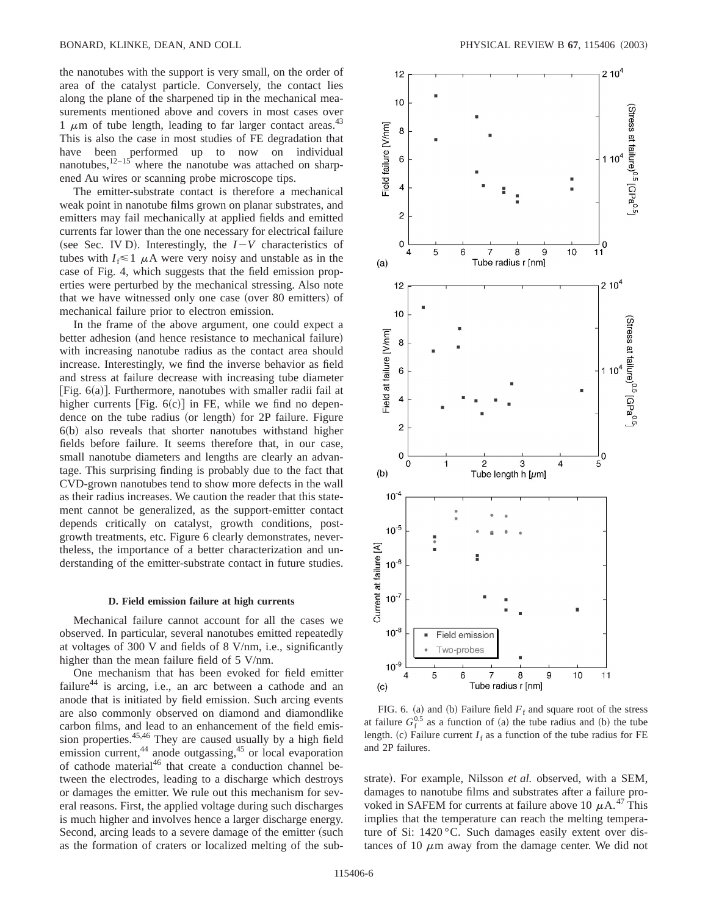the nanotubes with the support is very small, on the order of area of the catalyst particle. Conversely, the contact lies along the plane of the sharpened tip in the mechanical measurements mentioned above and covers in most cases over 1  $\mu$ m of tube length, leading to far larger contact areas.<sup>43</sup> This is also the case in most studies of FE degradation that have been performed up to now on individual nanotubes,  $12-15$  where the nanotube was attached on sharpened Au wires or scanning probe microscope tips.

The emitter-substrate contact is therefore a mechanical weak point in nanotube films grown on planar substrates, and emitters may fail mechanically at applied fields and emitted currents far lower than the one necessary for electrical failure (see Sec. IV D). Interestingly, the  $I-V$  characteristics of tubes with  $I_f \leq 1$   $\mu$ A were very noisy and unstable as in the case of Fig. 4, which suggests that the field emission properties were perturbed by the mechanical stressing. Also note that we have witnessed only one case (over 80 emitters) of mechanical failure prior to electron emission.

In the frame of the above argument, one could expect a better adhesion (and hence resistance to mechanical failure) with increasing nanotube radius as the contact area should increase. Interestingly, we find the inverse behavior as field and stress at failure decrease with increasing tube diameter [Fig.  $6(a)$ ]. Furthermore, nanotubes with smaller radii fail at higher currents [Fig.  $6(c)$ ] in FE, while we find no dependence on the tube radius (or length) for 2P failure. Figure  $6(b)$  also reveals that shorter nanotubes withstand higher fields before failure. It seems therefore that, in our case, small nanotube diameters and lengths are clearly an advantage. This surprising finding is probably due to the fact that CVD-grown nanotubes tend to show more defects in the wall as their radius increases. We caution the reader that this statement cannot be generalized, as the support-emitter contact depends critically on catalyst, growth conditions, postgrowth treatments, etc. Figure 6 clearly demonstrates, nevertheless, the importance of a better characterization and understanding of the emitter-substrate contact in future studies.

#### **D. Field emission failure at high currents**

Mechanical failure cannot account for all the cases we observed. In particular, several nanotubes emitted repeatedly at voltages of 300 V and fields of 8 V/nm, i.e., significantly higher than the mean failure field of 5 V/nm.

One mechanism that has been evoked for field emitter failure<sup>44</sup> is arcing, i.e., an arc between a cathode and an anode that is initiated by field emission. Such arcing events are also commonly observed on diamond and diamondlike carbon films, and lead to an enhancement of the field emission properties.<sup>45,46</sup> They are caused usually by a high field emission current, $44$  anode outgassing, $45$  or local evaporation of cathode material<sup>46</sup> that create a conduction channel between the electrodes, leading to a discharge which destroys or damages the emitter. We rule out this mechanism for several reasons. First, the applied voltage during such discharges is much higher and involves hence a larger discharge energy. Second, arcing leads to a severe damage of the emitter (such as the formation of craters or localized melting of the sub-



FIG. 6. (a) and (b) Failure field  $F_f$  and square root of the stress at failure  $G_f^{0.5}$  as a function of (a) the tube radius and (b) the tube length. (c) Failure current  $I_f$  as a function of the tube radius for FE and 2P failures.

strate). For example, Nilsson et al. observed, with a SEM, damages to nanotube films and substrates after a failure provoked in SAFEM for currents at failure above 10  $\mu$ A.<sup>47</sup> This implies that the temperature can reach the melting temperature of Si: 1420 °C. Such damages easily extent over distances of 10  $\mu$ m away from the damage center. We did not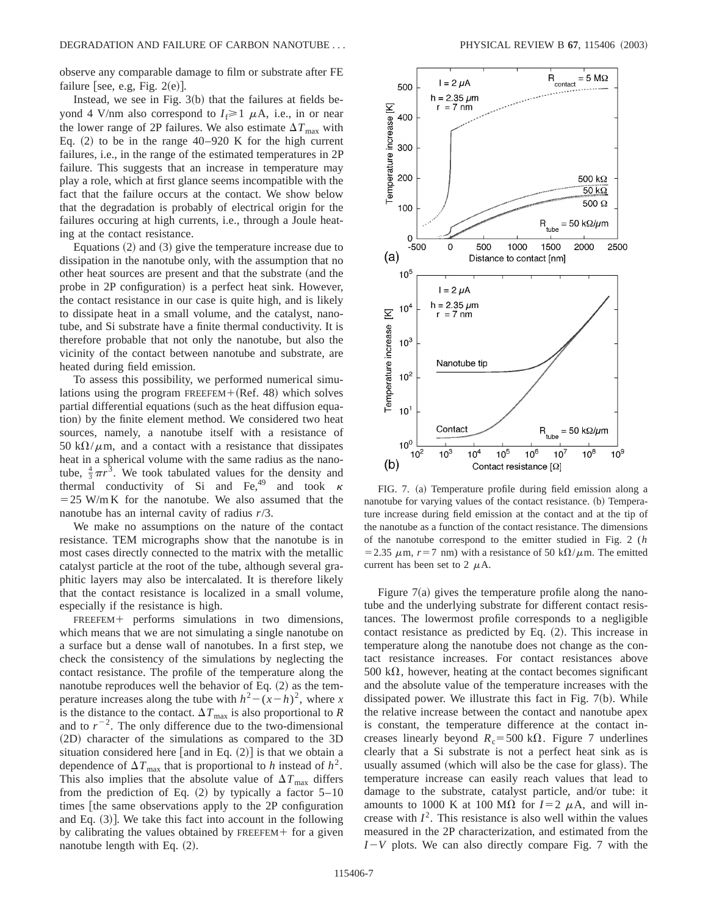observe any comparable damage to film or substrate after FE failure [see, e.g, Fig.  $2(e)$ ].

Instead, we see in Fig.  $3(b)$  that the failures at fields beyond 4 V/nm also correspond to  $I_f \ge 1$   $\mu$ A, i.e., in or near the lower range of 2P failures. We also estimate  $\Delta T_{\text{max}}$  with Eq.  $(2)$  to be in the range 40–920 K for the high current failures, i.e., in the range of the estimated temperatures in 2P failure. This suggests that an increase in temperature may play a role, which at first glance seems incompatible with the fact that the failure occurs at the contact. We show below that the degradation is probably of electrical origin for the failures occuring at high currents, i.e., through a Joule heating at the contact resistance.

Equations  $(2)$  and  $(3)$  give the temperature increase due to dissipation in the nanotube only, with the assumption that no other heat sources are present and that the substrate (and the probe in 2P configuration) is a perfect heat sink. However, the contact resistance in our case is quite high, and is likely to dissipate heat in a small volume, and the catalyst, nanotube, and Si substrate have a finite thermal conductivity. It is therefore probable that not only the nanotube, but also the vicinity of the contact between nanotube and substrate, are heated during field emission.

To assess this possibility, we performed numerical simulations using the program  $FREEFEM+(Ref. 48)$  which solves partial differential equations (such as the heat diffusion equation) by the finite element method. We considered two heat sources, namely, a nanotube itself with a resistance of 50 k $\Omega/\mu$ m, and a contact with a resistance that dissipates heat in a spherical volume with the same radius as the nanotube,  $\frac{4}{3}\pi r^3$ . We took tabulated values for the density and thermal conductivity of Si and Fe, <sup>49</sup> and took  $\kappa$  $=25$  W/m K for the nanotube. We also assumed that the nanotube has an internal cavity of radius *r*/3.

We make no assumptions on the nature of the contact resistance. TEM micrographs show that the nanotube is in most cases directly connected to the matrix with the metallic catalyst particle at the root of the tube, although several graphitic layers may also be intercalated. It is therefore likely that the contact resistance is localized in a small volume, especially if the resistance is high.

 $FREEFEM+$  performs simulations in two dimensions, which means that we are not simulating a single nanotube on a surface but a dense wall of nanotubes. In a first step, we check the consistency of the simulations by neglecting the contact resistance. The profile of the temperature along the nanotube reproduces well the behavior of Eq.  $(2)$  as the temperature increases along the tube with  $h^2 - (x - h)^2$ , where *x* is the distance to the contact.  $\Delta T_{\text{max}}$  is also proportional to *R* and to  $r^{-2}$ . The only difference due to the two-dimensional (2D) character of the simulations as compared to the 3D situation considered here  $[$  and in Eq.  $(2)]$  is that we obtain a dependence of  $\Delta T_{\text{max}}$  that is proportional to *h* instead of  $h^2$ . This also implies that the absolute value of  $\Delta T_{\text{max}}$  differs from the prediction of Eq.  $(2)$  by typically a factor  $5-10$ times [the same observations apply to the 2P configuration and Eq.  $(3)$ . We take this fact into account in the following by calibrating the values obtained by  $FREEFEM+$  for a given nanotube length with Eq.  $(2)$ .



FIG. 7. (a) Temperature profile during field emission along a nanotube for varying values of the contact resistance. (b) Temperature increase during field emission at the contact and at the tip of the nanotube as a function of the contact resistance. The dimensions of the nanotube correspond to the emitter studied in Fig. 2 (*h* = 2.35  $\mu$ m,  $r=7$  nm) with a resistance of 50 k $\Omega/\mu$ m. The emitted current has been set to 2  $\mu$ A.

Figure  $7(a)$  gives the temperature profile along the nanotube and the underlying substrate for different contact resistances. The lowermost profile corresponds to a negligible contact resistance as predicted by Eq.  $(2)$ . This increase in temperature along the nanotube does not change as the contact resistance increases. For contact resistances above 500 k $\Omega$ , however, heating at the contact becomes significant and the absolute value of the temperature increases with the dissipated power. We illustrate this fact in Fig.  $7(b)$ . While the relative increase between the contact and nanotube apex is constant, the temperature difference at the contact increases linearly beyond  $R_c$ =500 k $\Omega$ . Figure 7 underlines clearly that a Si substrate is not a perfect heat sink as is usually assumed (which will also be the case for glass). The temperature increase can easily reach values that lead to damage to the substrate, catalyst particle, and/or tube: it amounts to 1000 K at 100 M $\Omega$  for *I*=2  $\mu$ A, and will increase with  $I^2$ . This resistance is also well within the values measured in the 2P characterization, and estimated from the  $I-V$  plots. We can also directly compare Fig. 7 with the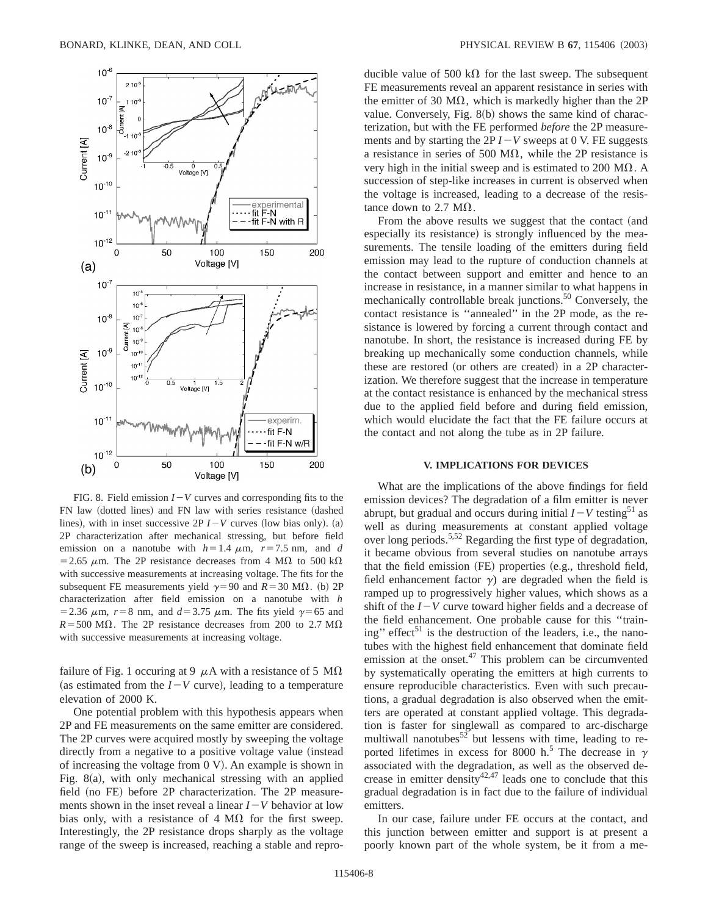

FIG. 8. Field emission  $I-V$  curves and corresponding fits to the FN law (dotted lines) and FN law with series resistance (dashed lines), with in inset successive  $2P I - V$  curves (low bias only). (a) 2P characterization after mechanical stressing, but before field emission on a nanotube with  $h=1.4 \mu m$ ,  $r=7.5 \text{ nm}$ , and *d* = 2.65  $\mu$ m. The 2P resistance decreases from 4 M $\Omega$  to 500 k $\Omega$ with successive measurements at increasing voltage. The fits for the subsequent FE measurements yield  $\gamma=90$  and  $R=30$  M $\Omega$ . (b) 2P characterization after field emission on a nanotube with *h* = 2.36  $\mu$ m,  $r=8$  nm, and  $d=3.75 \mu$ m. The fits yield  $\gamma=65$  and  $R = 500$  M $\Omega$ . The 2P resistance decreases from 200 to 2.7 M $\Omega$ with successive measurements at increasing voltage.

failure of Fig. 1 occuring at 9  $\mu$ A with a resistance of 5 M $\Omega$ (as estimated from the  $I-V$  curve), leading to a temperature elevation of 2000 K.

One potential problem with this hypothesis appears when 2P and FE measurements on the same emitter are considered. The 2P curves were acquired mostly by sweeping the voltage directly from a negative to a positive voltage value (instead) of increasing the voltage from  $(0, V)$ . An example is shown in Fig.  $8(a)$ , with only mechanical stressing with an applied field (no FE) before 2P characterization. The 2P measurements shown in the inset reveal a linear  $I-V$  behavior at low bias only, with a resistance of 4  $M\Omega$  for the first sweep. Interestingly, the 2P resistance drops sharply as the voltage range of the sweep is increased, reaching a stable and reproducible value of 500 k $\Omega$  for the last sweep. The subsequent FE measurements reveal an apparent resistance in series with the emitter of 30  $M\Omega$ , which is markedly higher than the 2P value. Conversely, Fig.  $8(b)$  shows the same kind of characterization, but with the FE performed *before* the 2P measurements and by starting the  $2P I - V$  sweeps at 0 V. FE suggests a resistance in series of 500 M $\Omega$ , while the 2P resistance is very high in the initial sweep and is estimated to 200  $\text{M}\Omega$ . A succession of step-like increases in current is observed when the voltage is increased, leading to a decrease of the resistance down to 2.7  $\text{M}\Omega$ .

From the above results we suggest that the contact (and especially its resistance) is strongly influenced by the measurements. The tensile loading of the emitters during field emission may lead to the rupture of conduction channels at the contact between support and emitter and hence to an increase in resistance, in a manner similar to what happens in mechanically controllable break junctions.<sup>50</sup> Conversely, the contact resistance is ''annealed'' in the 2P mode, as the resistance is lowered by forcing a current through contact and nanotube. In short, the resistance is increased during FE by breaking up mechanically some conduction channels, while these are restored (or others are created) in a 2P characterization. We therefore suggest that the increase in temperature at the contact resistance is enhanced by the mechanical stress due to the applied field before and during field emission, which would elucidate the fact that the FE failure occurs at the contact and not along the tube as in 2P failure.

# **V. IMPLICATIONS FOR DEVICES**

What are the implications of the above findings for field emission devices? The degradation of a film emitter is never abrupt, but gradual and occurs during initial  $I-V$  testing<sup>51</sup> as well as during measurements at constant applied voltage over long periods.5,52 Regarding the first type of degradation, it became obvious from several studies on nanotube arrays that the field emission (FE) properties (e.g., threshold field, field enhancement factor  $\gamma$ ) are degraded when the field is ramped up to progressively higher values, which shows as a shift of the  $I-V$  curve toward higher fields and a decrease of the field enhancement. One probable cause for this ''training" effect<sup>51</sup> is the destruction of the leaders, i.e., the nanotubes with the highest field enhancement that dominate field emission at the onset. $47$  This problem can be circumvented by systematically operating the emitters at high currents to ensure reproducible characteristics. Even with such precautions, a gradual degradation is also observed when the emitters are operated at constant applied voltage. This degradation is faster for singlewall as compared to arc-discharge multiwall nanotubes<sup>52</sup> but lessens with time, leading to reported lifetimes in excess for 8000 h.<sup>5</sup> The decrease in  $\gamma$ associated with the degradation, as well as the observed decrease in emitter density<sup>42,47</sup> leads one to conclude that this gradual degradation is in fact due to the failure of individual emitters.

In our case, failure under FE occurs at the contact, and this junction between emitter and support is at present a poorly known part of the whole system, be it from a me-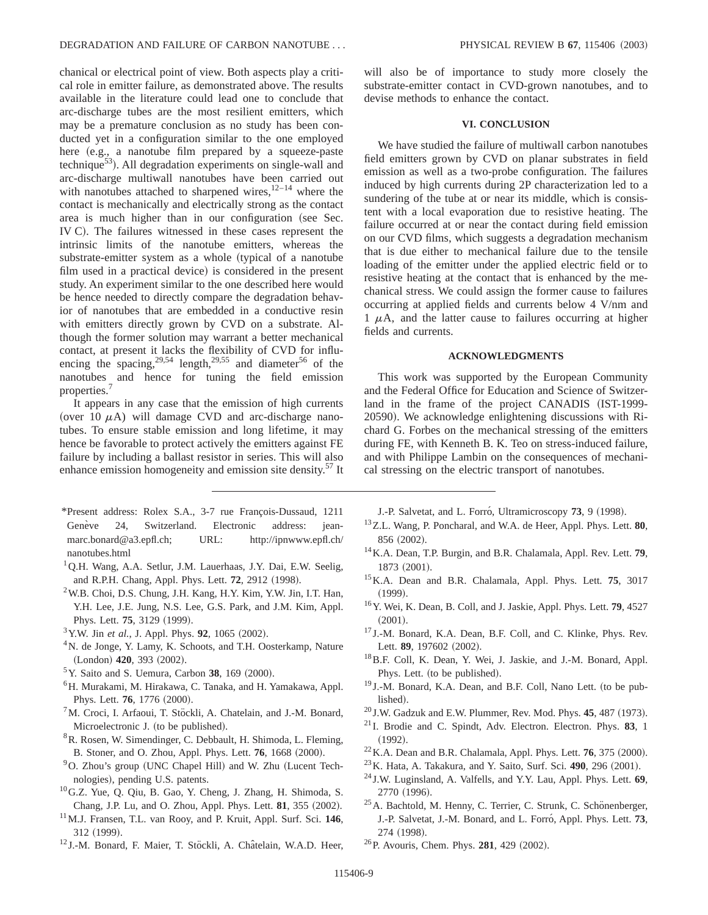chanical or electrical point of view. Both aspects play a critical role in emitter failure, as demonstrated above. The results available in the literature could lead one to conclude that arc-discharge tubes are the most resilient emitters, which may be a premature conclusion as no study has been conducted yet in a configuration similar to the one employed here (e.g., a nanotube film prepared by a squeeze-paste technique<sup>53</sup>). All degradation experiments on single-wall and arc-discharge multiwall nanotubes have been carried out with nanotubes attached to sharpened wires, $12-14$  where the contact is mechanically and electrically strong as the contact area is much higher than in our configuration (see Sec. IV C). The failures witnessed in these cases represent the intrinsic limits of the nanotube emitters, whereas the substrate-emitter system as a whole (typical of a nanotube film used in a practical device) is considered in the present study. An experiment similar to the one described here would be hence needed to directly compare the degradation behavior of nanotubes that are embedded in a conductive resin with emitters directly grown by CVD on a substrate. Although the former solution may warrant a better mechanical contact, at present it lacks the flexibility of CVD for influencing the spacing,<sup>29,54</sup> length,<sup>29,55</sup> and diameter<sup>56</sup> of the nanotubes and hence for tuning the field emission properties.<sup>7</sup>

It appears in any case that the emission of high currents (over 10  $\mu$ A) will damage CVD and arc-discharge nanotubes. To ensure stable emission and long lifetime, it may hence be favorable to protect actively the emitters against FE failure by including a ballast resistor in series. This will also enhance emission homogeneity and emission site density.<sup>57</sup> It

- \*Present address: Rolex S.A., 3-7 rue François-Dussaud, 1211 Genève 24, Switzerland. Electronic address: jeanmarc.bonard@a3.epfl.ch; URL: http://ipnwww.epfl.ch/ nanotubes.html
- <sup>1</sup>Q.H. Wang, A.A. Setlur, J.M. Lauerhaas, J.Y. Dai, E.W. Seelig, and R.P.H. Chang, Appl. Phys. Lett. **72**, 2912 (1998).
- $^{2}$ W.B. Choi, D.S. Chung, J.H. Kang, H.Y. Kim, Y.W. Jin, I.T. Han, Y.H. Lee, J.E. Jung, N.S. Lee, G.S. Park, and J.M. Kim, Appl. Phys. Lett. **75**, 3129 (1999).
- $3$  Y.W. Jin *et al.*, J. Appl. Phys. **92**, 1065 (2002).
- <sup>4</sup>N. de Jonge, Y. Lamy, K. Schoots, and T.H. Oosterkamp, Nature (London) 420, 393 (2002).
- $5$ Y. Saito and S. Uemura, Carbon 38, 169  $(2000)$ .
- <sup>6</sup>H. Murakami, M. Hirakawa, C. Tanaka, and H. Yamakawa, Appl. Phys. Lett. **76**, 1776 (2000).
- $7$ M. Croci, I. Arfaoui, T. Stöckli, A. Chatelain, and J.-M. Bonard, Microelectronic J. (to be published).
- 8R. Rosen, W. Simendinger, C. Debbault, H. Shimoda, L. Fleming, B. Stoner, and O. Zhou, Appl. Phys. Lett. **76**, 1668 (2000).
- $9^9$ O. Zhou's group (UNC Chapel Hill) and W. Zhu (Lucent Technologies), pending U.S. patents.
- 10G.Z. Yue, Q. Qiu, B. Gao, Y. Cheng, J. Zhang, H. Shimoda, S. Chang, J.P. Lu, and O. Zhou, Appl. Phys. Lett. **81**, 355 (2002).
- 11M.J. Fransen, T.L. van Rooy, and P. Kruit, Appl. Surf. Sci. **146**, 312 (1999).
- <sup>12</sup> J.-M. Bonard, F. Maier, T. Stöckli, A. Châtelain, W.A.D. Heer,

will also be of importance to study more closely the substrate-emitter contact in CVD-grown nanotubes, and to devise methods to enhance the contact.

### **VI. CONCLUSION**

We have studied the failure of multiwall carbon nanotubes field emitters grown by CVD on planar substrates in field emission as well as a two-probe configuration. The failures induced by high currents during 2P characterization led to a sundering of the tube at or near its middle, which is consistent with a local evaporation due to resistive heating. The failure occurred at or near the contact during field emission on our CVD films, which suggests a degradation mechanism that is due either to mechanical failure due to the tensile loading of the emitter under the applied electric field or to resistive heating at the contact that is enhanced by the mechanical stress. We could assign the former cause to failures occurring at applied fields and currents below 4 V/nm and  $1 \mu A$ , and the latter cause to failures occurring at higher fields and currents.

#### **ACKNOWLEDGMENTS**

This work was supported by the European Community and the Federal Office for Education and Science of Switzerland in the frame of the project CANADIS (IST-1999-20590). We acknowledge enlightening discussions with Richard G. Forbes on the mechanical stressing of the emitters during FE, with Kenneth B. K. Teo on stress-induced failure, and with Philippe Lambin on the consequences of mechanical stressing on the electric transport of nanotubes.

J.-P. Salvetat, and L. Forró, Ultramicroscopy 73, 9 (1998).

- 13Z.L. Wang, P. Poncharal, and W.A. de Heer, Appl. Phys. Lett. **80**, 856 (2002).
- 14K.A. Dean, T.P. Burgin, and B.R. Chalamala, Appl. Rev. Lett. **79**, 1873 (2001).
- 15K.A. Dean and B.R. Chalamala, Appl. Phys. Lett. **75**, 3017  $(1999).$
- 16Y. Wei, K. Dean, B. Coll, and J. Jaskie, Appl. Phys. Lett. **79**, 4527  $(2001).$
- <sup>17</sup> J.-M. Bonard, K.A. Dean, B.F. Coll, and C. Klinke, Phys. Rev. Lett. **89**, 197602 (2002).
- <sup>18</sup> B.F. Coll, K. Dean, Y. Wei, J. Jaskie, and J.-M. Bonard, Appl. Phys. Lett. (to be published).
- <sup>19</sup> J.-M. Bonard, K.A. Dean, and B.F. Coll, Nano Lett. (to be published).
- $^{20}$  J.W. Gadzuk and E.W. Plummer, Rev. Mod. Phys. **45**, 487 (1973).
- <sup>21</sup> I. Brodie and C. Spindt, Adv. Electron. Electron. Phys. **83**, 1  $(1992).$
- $^{22}$ K.A. Dean and B.R. Chalamala, Appl. Phys. Lett. **76**, 375  $(2000)$ .
- <sup>23</sup> K. Hata, A. Takakura, and Y. Saito, Surf. Sci. **490**, 296 (2001).
- <sup>24</sup> J.W. Luginsland, A. Valfells, and Y.Y. Lau, Appl. Phys. Lett. **69**, 2770 (1996).
- <sup>25</sup> A. Bachtold, M. Henny, C. Terrier, C. Strunk, C. Schönenberger, J.-P. Salvetat, J.-M. Bonard, and L. Forro´, Appl. Phys. Lett. **73**, 274 (1998).
- <sup>26</sup>P. Avouris, Chem. Phys. **281**, 429 (2002).